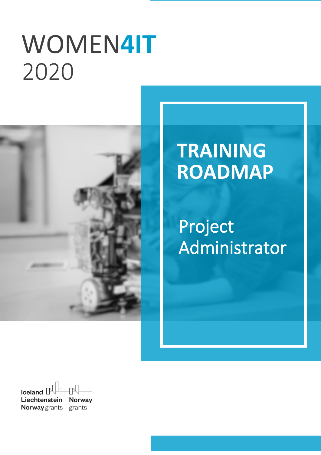# WOMEN**4IT** `2020



# **TRAINING ROADMAP**

Project Administrator

Iceland  $\Box$ Liechtenstein **Norway Norway** grants grants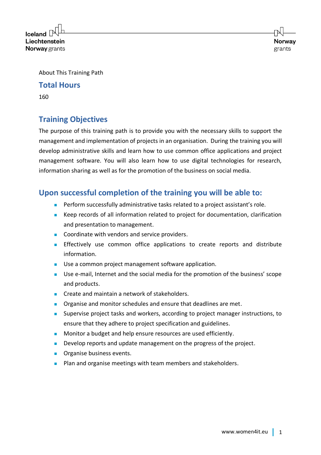$l$ celand $\lceil$ Liechtenstein **Norway** grants

About This Training Path

#### **Total Hours**

160

# **Training Objectives**

The purpose of this training path is to provide you with the necessary skills to support the management and implementation of projects in an organisation. During the training you will develop administrative skills and learn how to use common office applications and project management software. You will also learn how to use digital technologies for research, information sharing as well as for the promotion of the business on social media.

# **Upon successful completion of the training you will be able to:**

- Perform successfully administrative tasks related to a project assistant's role.
- Keep records of all information related to project for documentation, clarification and presentation to management.
- Coordinate with vendors and service providers.
- **■** Effectively use common office applications to create reports and distribute information.
- Use a common project management software application.
- Use e-mail, Internet and the social media for the promotion of the business' scope and products.
- Create and maintain a network of stakeholders.
- Organise and monitor schedules and ensure that deadlines are met.
- Supervise project tasks and workers, according to project manager instructions, to ensure that they adhere to project specification and guidelines.
- Monitor a budget and help ensure resources are used efficiently.
- Develop reports and update management on the progress of the project.
- Organise business events.
- Plan and organise meetings with team members and stakeholders.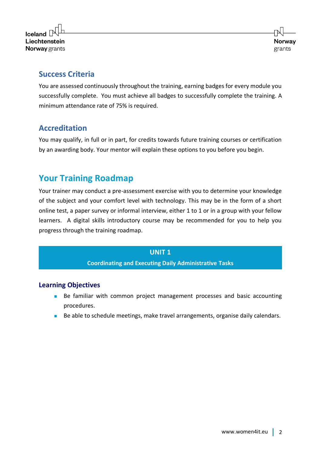

# **Success Criteria**

You are assessed continuously throughout the training, earning badges for every module you successfully complete. You must achieve all badges to successfully complete the training. A minimum attendance rate of 75% is required.

# **Accreditation**

You may qualify, in full or in part, for credits towards future training courses or certification by an awarding body. Your mentor will explain these options to you before you begin.

# **Your Training Roadmap**

Your trainer may conduct a pre-assessment exercise with you to determine your knowledge of the subject and your comfort level with technology. This may be in the form of a short online test, a paper survey or informal interview, either 1 to 1 or in a group with your fellow learners. A digital skills introductory course may be recommended for you to help you progress through the training roadmap.

## **UNIT 1**

**Coordinating and Executing Daily Administrative Tasks**

# **Learning Objectives**

- Be familiar with common project management processes and basic accounting procedures.
- Be able to schedule meetings, make travel arrangements, organise daily calendars.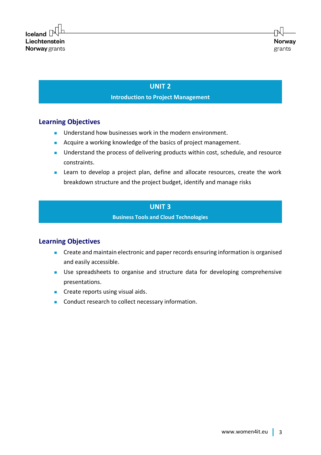# **UNIT 2 Introduction to Project Management**

## **Learning Objectives**

- Understand how businesses work in the modern environment.
- Acquire a working knowledge of the basics of project management.
- Understand the process of delivering products within cost, schedule, and resource constraints.
- Learn to develop a project plan, define and allocate resources, create the work breakdown structure and the project budget, identify and manage risks

#### **UNIT 3**

**Business Tools and Cloud Technologies**

## **Learning Objectives**

- Create and maintain electronic and paper records ensuring information is organised and easily accessible.
- Use spreadsheets to organise and structure data for developing comprehensive presentations.
- Create reports using visual aids.
- Conduct research to collect necessary information.